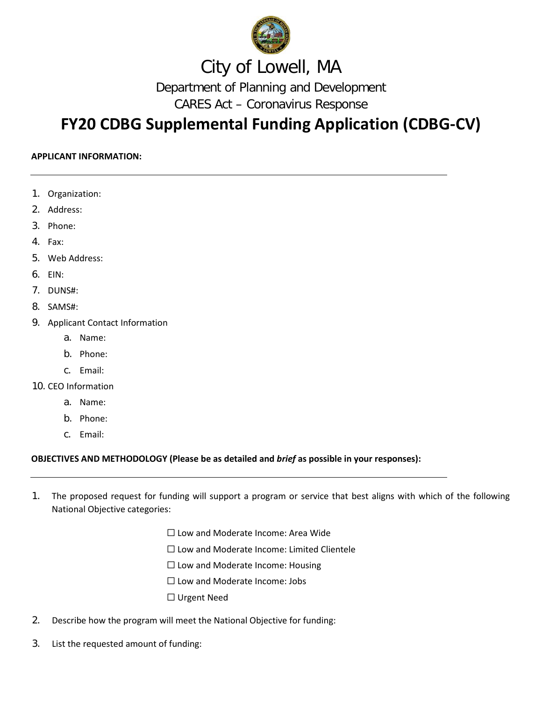

## City of Lowell, MA

Department of Planning and Development

CARES Act – Coronavirus Response

## **FY20 CDBG Supplemental Funding Application (CDBG-CV)**

### **APPLICANT INFORMATION:**

- 1. Organization:
- 2. Address:
- 3. Phone:
- 4. Fax:
- 5. Web Address:
- 6. EIN:
- 7. DUNS#:
- 8. SAMS#:
- 9. Applicant Contact Information
	- a. Name:
	- b. Phone:
	- c. Email:
- 10. CEO Information
	- a. Name:
	- b. Phone:
	- c. Email:

### **OBJECTIVES AND METHODOLOGY (Please be as detailed and** *brief* **as possible in your responses):**

- 1. The proposed request for funding will support a program or service that best aligns with which of the following National Objective categories:
	- ☐ Low and Moderate Income: Area Wide
	- ☐ Low and Moderate Income: Limited Clientele
	- $\Box$  Low and Moderate Income: Housing
	- ☐ Low and Moderate Income: Jobs
	- ☐ Urgent Need
- 2. Describe how the program will meet the National Objective for funding:
- 3. List the requested amount of funding: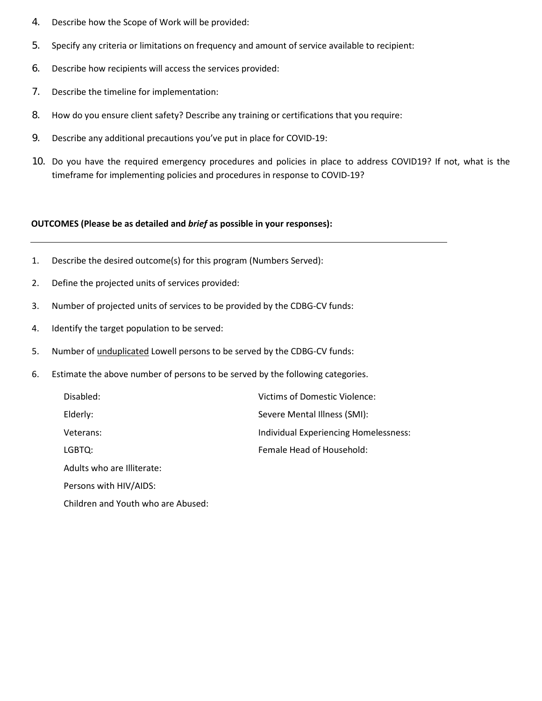- 4. Describe how the Scope of Work will be provided:
- 5. Specify any criteria or limitations on frequency and amount of service available to recipient:
- 6. Describe how recipients will access the services provided:
- 7. Describe the timeline for implementation:
- 8. How do you ensure client safety? Describe any training or certifications that you require:
- 9. Describe any additional precautions you've put in place for COVID-19:
- 10. Do you have the required emergency procedures and policies in place to address COVID19? If not, what is the timeframe for implementing policies and procedures in response to COVID-19?

#### **OUTCOMES (Please be as detailed and** *brief* **as possible in your responses):**

- 1. Describe the desired outcome(s) for this program (Numbers Served):
- 2. Define the projected units of services provided:
- 3. Number of projected units of services to be provided by the CDBG-CV funds:
- 4. Identify the target population to be served:
- 5. Number of unduplicated Lowell persons to be served by the CDBG-CV funds:
- 6. Estimate the above number of persons to be served by the following categories.

| Disabled:                  | Victims of Domestic Violence:         |
|----------------------------|---------------------------------------|
| Elderly:                   | Severe Mental Illness (SMI):          |
| Veterans:                  | Individual Experiencing Homelessness: |
| LGBTQ:                     | Female Head of Household:             |
| Adults who are Illiterate: |                                       |
|                            |                                       |

Persons with HIV/AIDS:

Children and Youth who are Abused: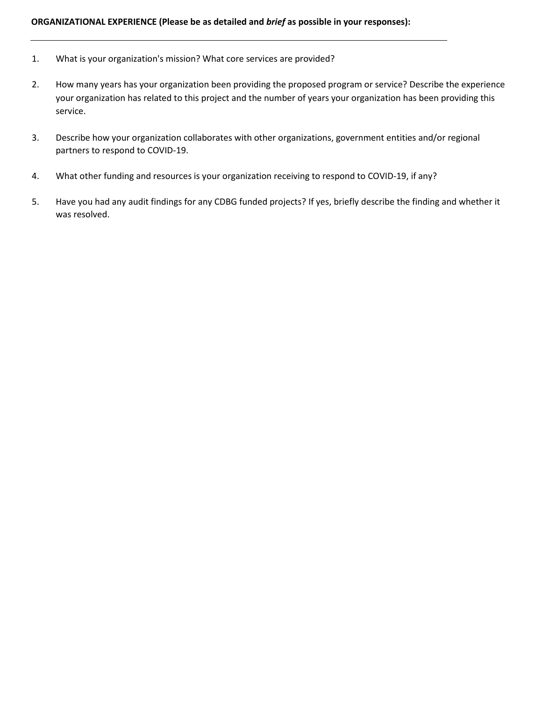### **ORGANIZATIONAL EXPERIENCE (Please be as detailed and** *brief* **as possible in your responses):**

- 1. What is your organization's mission? What core services are provided?
- 2. How many years has your organization been providing the proposed program or service? Describe the experience your organization has related to this project and the number of years your organization has been providing this service.
- 3. Describe how your organization collaborates with other organizations, government entities and/or regional partners to respond to COVID-19.
- 4. What other funding and resources is your organization receiving to respond to COVID-19, if any?
- 5. Have you had any audit findings for any CDBG funded projects? If yes, briefly describe the finding and whether it was resolved.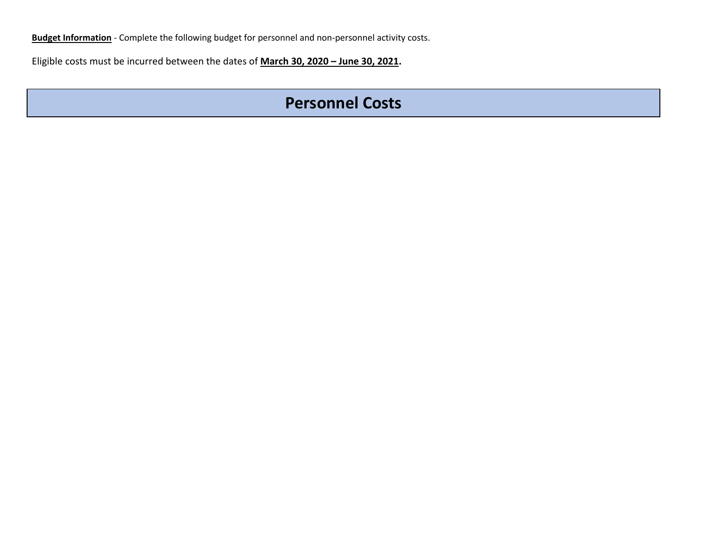**Budget Information** - Complete the following budget for personnel and non-personnel activity costs.

Eligible costs must be incurred between the dates of **March 30, 2020 – June 30, 2021.**

### **Personnel Costs**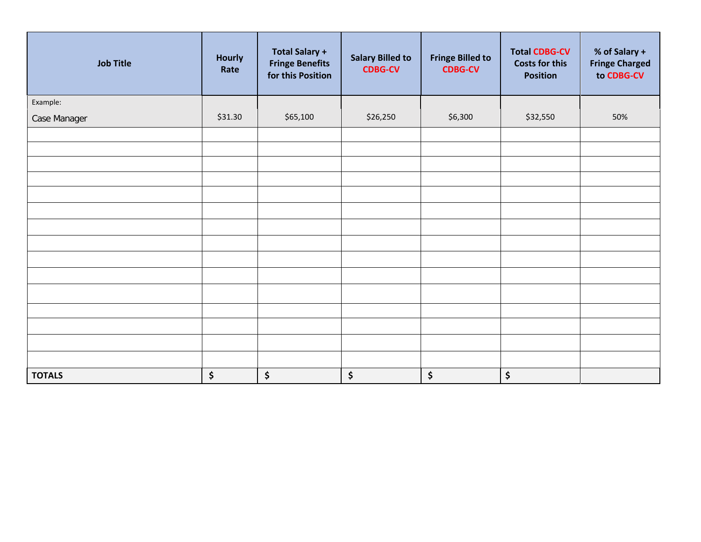| <b>Job Title</b> | <b>Hourly</b><br>Rate | <b>Total Salary +</b><br><b>Fringe Benefits</b><br>for this Position | <b>Salary Billed to</b><br><b>CDBG-CV</b> | <b>Fringe Billed to</b><br><b>CDBG-CV</b> | <b>Total CDBG-CV</b><br><b>Costs for this</b><br><b>Position</b> | % of Salary +<br><b>Fringe Charged</b><br>to CDBG-CV |
|------------------|-----------------------|----------------------------------------------------------------------|-------------------------------------------|-------------------------------------------|------------------------------------------------------------------|------------------------------------------------------|
| Example:         |                       |                                                                      |                                           |                                           |                                                                  |                                                      |
| Case Manager     | \$31.30               | \$65,100                                                             | \$26,250                                  | \$6,300                                   | \$32,550                                                         | 50%                                                  |
|                  |                       |                                                                      |                                           |                                           |                                                                  |                                                      |
|                  |                       |                                                                      |                                           |                                           |                                                                  |                                                      |
|                  |                       |                                                                      |                                           |                                           |                                                                  |                                                      |
|                  |                       |                                                                      |                                           |                                           |                                                                  |                                                      |
|                  |                       |                                                                      |                                           |                                           |                                                                  |                                                      |
|                  |                       |                                                                      |                                           |                                           |                                                                  |                                                      |
|                  |                       |                                                                      |                                           |                                           |                                                                  |                                                      |
|                  |                       |                                                                      |                                           |                                           |                                                                  |                                                      |
|                  |                       |                                                                      |                                           |                                           |                                                                  |                                                      |
|                  |                       |                                                                      |                                           |                                           |                                                                  |                                                      |
|                  |                       |                                                                      |                                           |                                           |                                                                  |                                                      |
|                  |                       |                                                                      |                                           |                                           |                                                                  |                                                      |
|                  |                       |                                                                      |                                           |                                           |                                                                  |                                                      |
|                  |                       |                                                                      |                                           |                                           |                                                                  |                                                      |
|                  |                       |                                                                      |                                           |                                           |                                                                  |                                                      |
| <b>TOTALS</b>    | \$                    | \$                                                                   | \$                                        | \$                                        | \$                                                               |                                                      |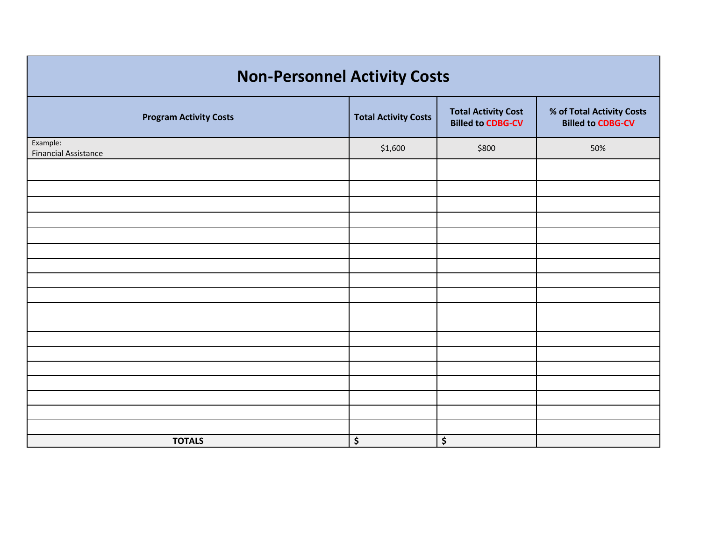# **Non-Personnel Activity Costs**

| <b>Program Activity Costs</b>           | <b>Total Activity Costs</b> | <b>Total Activity Cost</b><br><b>Billed to CDBG-CV</b> | % of Total Activity Costs<br><b>Billed to CDBG-CV</b> |  |  |  |  |  |
|-----------------------------------------|-----------------------------|--------------------------------------------------------|-------------------------------------------------------|--|--|--|--|--|
| Example:<br><b>Financial Assistance</b> | \$1,600                     | \$800                                                  | 50%                                                   |  |  |  |  |  |
|                                         |                             |                                                        |                                                       |  |  |  |  |  |
|                                         |                             |                                                        |                                                       |  |  |  |  |  |
|                                         |                             |                                                        |                                                       |  |  |  |  |  |
|                                         |                             |                                                        |                                                       |  |  |  |  |  |
|                                         |                             |                                                        |                                                       |  |  |  |  |  |
|                                         |                             |                                                        |                                                       |  |  |  |  |  |
|                                         |                             |                                                        |                                                       |  |  |  |  |  |
|                                         |                             |                                                        |                                                       |  |  |  |  |  |
|                                         |                             |                                                        |                                                       |  |  |  |  |  |
|                                         |                             |                                                        |                                                       |  |  |  |  |  |
|                                         |                             |                                                        |                                                       |  |  |  |  |  |
|                                         |                             |                                                        |                                                       |  |  |  |  |  |
|                                         |                             |                                                        |                                                       |  |  |  |  |  |
|                                         |                             |                                                        |                                                       |  |  |  |  |  |
|                                         |                             |                                                        |                                                       |  |  |  |  |  |
|                                         |                             |                                                        |                                                       |  |  |  |  |  |
|                                         |                             |                                                        |                                                       |  |  |  |  |  |
| <b>TOTALS</b>                           | \$                          | \$                                                     |                                                       |  |  |  |  |  |